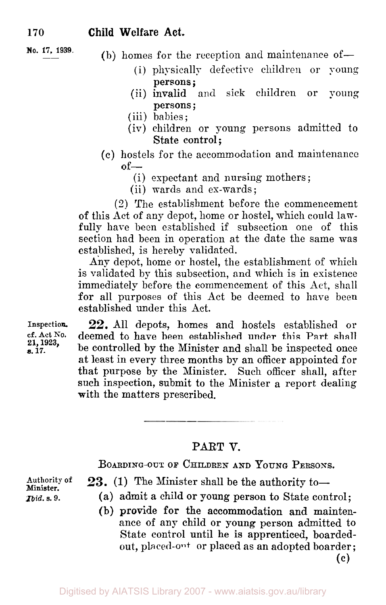$(b)$  homes for the reception and maintenance of-

- (i) physically defective children or young persons ;
- (ii) invalid and sick children or voung persons ;
- (iii) babies ;
- (iv) children or young persons admitted to State control;
- (c) hostels for the accommodation and maintenance  $of-$ 
	- (i) expectant and nursing mothers;
	- (ii) wards and ex-wards;

(2) The establishment before the commencement of this Act of any depot, home or hostel, which could lawfully have been established if subsection one of this section had been in operation at the date the same was established, is hereby validated.

Any depot, home or hostel, the establishment of which is validated by this subsection, and which is in existence immediately before the commencement of this Act, shall for all purposes of this Act be deemed to have been established under this Act.

Inspection. 22. All depots, homes and hostels established or<br>cf. Act No. deemed to have been established under this Part shall deemed to have been established under this Part shall be controlled by the Minister and shall be inspected once at least in every three months by an officer appointed for that purpose by the Minister. Such officer shall, after such inspection, submit to the Minister a report dealing with the matters prescribed.

### **PART V.**

**BOARDING-OUT OF CHILDREN AND YOUNG PERSONS.** 

**Authority of Minister.** 

*Ibid.* **s.** *9.* 

- 23. (1) The Minister shall be the authority to-
	- (a) admit a child or young person to State control;
	- (b) provide for the accommodation and maintenance of any child or young person admitted to State control until he is apprenticed, boardedout, placed-out or placed as an adopted boarder; **(c)**

**21, 1923,**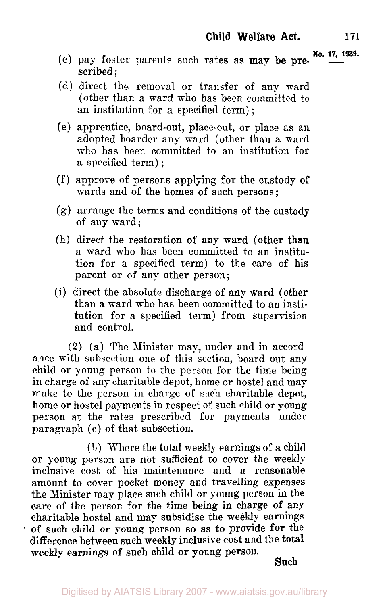- $\alpha$  (c) pay foster parents such rates as may be pre- $\frac{N_0.17, 1939}{\cdots}$ scribed ;
- (d) direct the removal or transfer of any ward (other than a ward who has been committed to an institution for a specified term) ;
- (e) apprentice, board-out, place-out, or place as an adopted boarder any ward (other than **a** ward who has been committed to an institution for a specified term) ;
- (f) approve of persons applying for the custody **of**  wards and of the homes of such persons ;
- (g) arrange the terms and conditions of the custody of any ward;
- (h) direct the restoration of any ward (other than a ward who has been committed to an institution for a specified term) to the care of his parent or of any other person;
- (i) direct the absolute discharge of any ward (other than a ward who has been committed to an institution for a specified term) from supervision and control.

**(2)** (a) The Minister may, under and in accordance with subsection one of this section, board out any child or young person to the person for the time being in charge of any charitable depot, home or hostel and may make to the person in charge of such charitable depot, home or hostel payments in respect of such child or young person at the rates prescribed for payments under paragraph (c) of that subsection.

(b) Where the total meekly earnings of a child or young person are not sufficient to cover the meekly inclusive cost of his maintenance and a reasonable amount to cover pocket money and travelling expenses the Minister may place such child or young person in the care of the person for the time being in charge of any charitable hostel and may subsidise the meekly earnings **of** such child or young person so as to provide **for** the difference between such week17 inclusive cost and the total weekly earnings **of** such child or young person. **Such**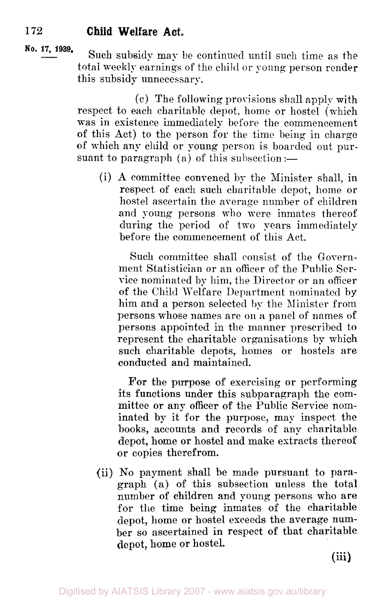**No. 17, 1939.** Such subsidy may be continued until such time as the total weekly earnings of the child or young person render this subsidy unnecessary.

> (c) The following provisions shall apply with respect to each charitable depot, home or hostel (which was in existence immediately before the commencement of this Act) to the person for the time being in charge of which any child or young person is boarded out pursuant to paragraph  $(a)$  of this subsection :-

(i) **A** committee convened by the Minister shall, in respect of each such charitable depot, home or hostel ascertain the average number of children and young persons who were inmates thereof during the period of two years immediately before the commencement of this Act.

Such committee shall consist of the Government Statistician or an officer of the Public Service nominated by him, the Director or an officer. of the Child Welfare Department nominated by him and a person selected by the Minister from persons whose names are on a panel of names of persons appointed in the manner prescribed to represent the charitable organisations by which such charitable depots, homes or hostels are conducted and maintained.

For the purpose of exercising or performing its functions under this subparagraph the committee or any officer of the Public Service nominated by it for the purpose, may inspect the books, accounts and records of any charitable depot, home or hostel **and** make extracts thereof or copies therefrom.

(ii) No payment shall be made pursuant to paragraph (a) of this subsection unless the total number of children and young persons who are for the time being inmates of the charitable depot, home or hostel exceeds the average number so ascertained in respect **of** that charitable depot, home or hostel.

(iii)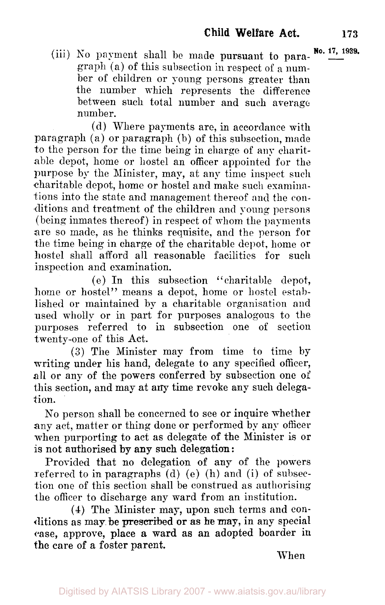**No. 17, 1939.** (iii) **No** payment shall be made pursuant to paragraph (a) of this subsection in respect of a number of children or young persons greater than the number which represents the difference between such total number and such average number.

(d) Where payments are, in accordance with paragraph **(a)** or paragraph (b) of this subsection, made to the person for the time being in charge of any charitable depot, home or hostel an officer appointed for the purpose by the Minister, may, at any time inspect such charitable depot, home or hostel and make such examinations into the state and management thereof and the conditions and treatment of the children and young persons (being inmates thereof) in respect of whom the payments are so made, as he thinks requisite, and the person for the time being in charge of the charitable depot, home or hostel shall afford all reasonable facilities for such inspection and examination.

(e) In this subsection "charitable depot, home or hostel" means a depot, home or hostel established or maintained by a charitable organisation **and**  used wholly or in part for purposes analogous to the purposes referred to in subsection one of section twenty-one of this Act.

**(3)** The Minister may from time to time by writing under his hand, delegate to any specified officer, all or any of the powers conferred by subsection one of this section, and may at any time revoke any such delegation.

No person shall be concerned to see or inquire whether any act, matter or thing done or performed by any officer when purporting to act as delegate of the Minister is or is not authorised by **any** such delegation:

Provided that no delegation of any of the powers referred to in paragraphs (d) (e) (h) and (i) of subsection one of this section shall be construed as authorising the officer to discharge any ward from an institution.

**(4)** The Minister may, upon such terms and conditions as may be prescribed **or** as **he** may, in any special case, approve, place a ward as an adopted boarder in the care of a foster parent.

When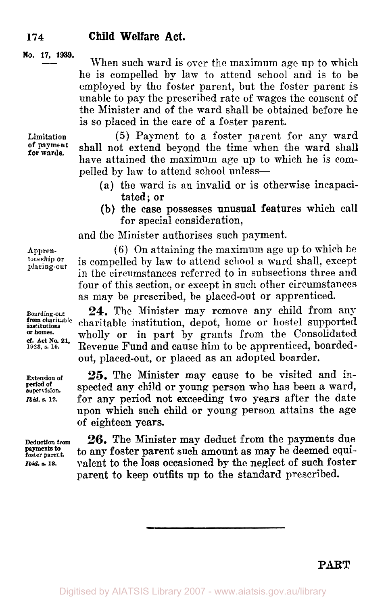#### **No. 17, 1939.**

When such ward is over the maximum age up to which he is compelled by lam to attend school and is to be employed by the foster parent, but the foster parent is unable to pay the prescribed rate of wages the consent of the Minister and of the ward shall be obtained before he is so placed in the care of a foster parent.

**for wards.** 

**Limitation** (5) Payment to a foster parent for any ward shall not extend beyond the time when the ward shall have attained the maximum age up to which he is compelled by law to attend school unless-

- (a) the ward is an invalid or is otherwise incapaci tated; or
- **(b)** the case possesses unusual features which call for special consideration,

and the Minister authorises such payment.

Appren- (6) On attaining the maximum age up to which he<br>therebin or is compelled by law to stand school a word shall exeent. **ticeship placing-out** is compelled by law to attend school a ward shall, except in the circumstances referred to in subsections three and four of this section, or except in such other circumstances as may be prescribed, be placed-out or apprenticed.

> **24.** The Minister may remove any child from any charitable institution, depot, home or hostel supported wholly or in part by grants from the Consolidated Revenue Fund and cause him to be apprenticed, boardedout, placed-out, or placed as an adopted boarder.

> *25.* The Minister may cause to be visited and inspected any child or young person who has been a ward, for any period not exceeding two years after the date upon which such child or young person attains the age of eighteen years.

> **26.** The Minister may deduct from the payments due to any foster parent such amount as may be deemed equiralent to the loss occasioned by the neglect of such foster parent to keep outfits up to the standard prescribed.

**Boarding out institutions**  *1923,* **s. 10. from charitable or homes.**  *cf.* **Act** *No.* **21.** 

**Extension of supervision.**  *Ibid. s. 12.*  **period of** 

**Deduction from foster parent. payments to Ibid.** *s.* **13.** 

PART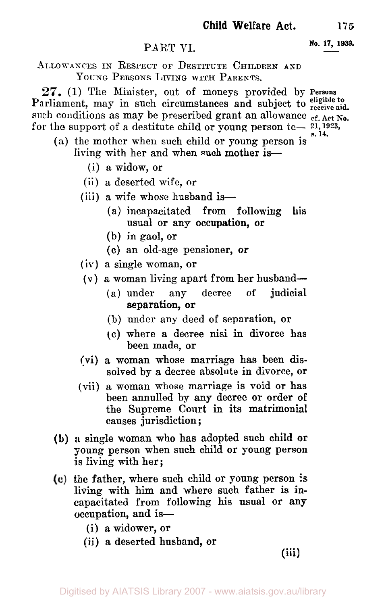# PART VI. **No. 17, 1939.**

ALLOWANCES IN RESPECT OF DESTITUTE CHILDREN **AND**  YOUNG PERSONS LIVING WITH PARENTS.

**27.** (1) The Minister, out of moneys provided by Persons Parliament, may in such circumstances and subject to **receive aid**  such conditions as may be prescribed grant an allowance  $\frac{1}{\epsilon_{f}}$ . Act No. for the support of a destitute child or young person  $t_0$ —  $21,1923$ , **s. 14.** 

- **(a)** the mother when such child or young person is living with her and when such mother *is-* 
	- (i) a widow, or
	- (ii) a deserted wife, or
	- (iii) a wife whose husband is—
		- (a) incapacitated from following **his**  usual or any occupation, or
		- (b) in gaol, **or**
		- (c) an old-age pensioner, **or**
	- **(iv)** a single woman, **or**
	- **(v)** a woman living apart from her husband-
		- (a) under any decree of judicial separation, or
		- (b) under any deed of separation, or
		- *(c)* where a decree nisi in divorce has been made, **or**
	- **(vi)** a woman whose marriage has been **dis**solved by a decree absolute in divorce, or
	- (vii) a woman whose marriage is void or has been annulled by any decree **or** order **of**  the Supreme Court in its matrimonial causes jurisdiction ;
- **(b) a** single woman who has adopted such child **or**  young person when such child or young person is living with her;
- the father, where such child or young person **is**  living with him and where such father is incapacitated from following his usual **or** any occupation, and is-
	- (i) a widower, or
	- (ii) **a** deserted husband, **or**

**(iii)**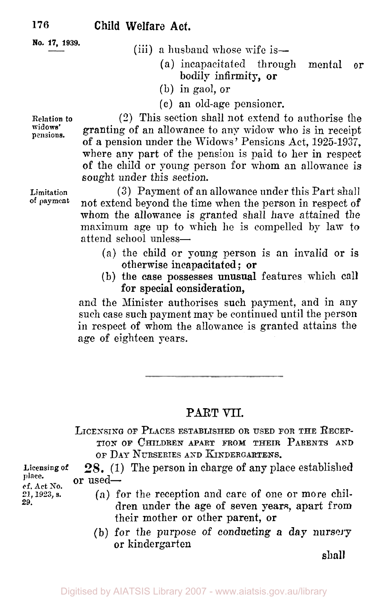**No. 17, 1939.** 

- (iii) a husband whose wife is—
	- (a) incapacitated through mental or bodily infirmity, or
	- (b) in gaol, or
	- **(c)** an old-age pensioner.

(2) This section shall not extend to authorise the granting of an allowance to any widow who is in receipt of a pension under the Widows' Pensions Act, 1925-1937, where any part of the pension is paid to her in respect of the child or young person for whom an allowance is sought under this section.

**Limitation of** payment

**Relation** *to*  **widows'** 

**pensions.** 

**(3)** Payment of an allowance under this Part shall not extend beyond the time when the person in respect of whom the allowance is granted shall have attained the maximum age up to which he is compelled by law to attend school unless-

- (a) the child or young person is an invalid or is otherwise incapacitated ; or
- (b) the case possesses unusual features which call for special consideration,

and the Minister authorises such payment, and in any such case such payment may be continued until the person in respect of whom the allowance is granted attains the age of eighteen pears.

## **PART** VII.

**LICENSING OF PLACES ESTABLISHED OR USED FOR THE RECEP-TION OF CHILDREN APART FROM THEIR PARENTS AND**  OF DAY NURSERIES AND KINDERGARTENS.

**28.** (1) The person in charge of any place established **Licensing of place.**  or used-

**cf. Bet** *No.*  21, 1923, **s.**  *29.* 

- (a) for the reception and care of one or more children under the age of seven years, apart from their mother or other parent, or
- (b) for the purpose of conducting *a* day nursery or kindergarten

shall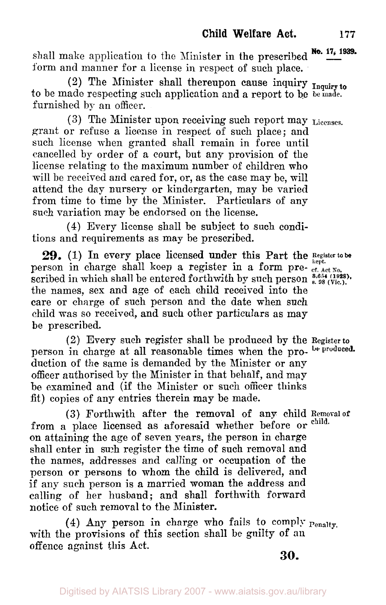shall make application to the Minister in the prescribed  $\frac{N\cdot 17}{4}$  iss. form and manner for a license in respect of such place.

to be made respecting such application and a report to be be **made.**  furnished by an officer. (2) The Minister shall thereupon cause inquiry **Inquiry to** 

**(3)** The Minister upon receiving such report may **Licenses.**  grant or refuse a license in respect of such place; and such license when granted shall remain in force until cancelled by order of a court, but any provision of the license relating to the maximum number of children who will be received and cared for, or, as the case may be, will attend the day nursery or kindergarten, may be varied from time to time by the Minister. Particulars of any such variation may be endorsed on the license.

**(4)** Every license shall be subject to such conditions and requirements as may be prescribed.

person in charge shall keep a register in a form prethe names, sex and age of each child received into the care or charge of such person and the date when such child was so received, and such other particulars as may be prescribed. 29. (1) In every place licensed under this Part the Register to be  $\text{3.654 (1928)}$ .  $\text{3.654 (1928)}$ .  $\text{3.654 (1928)}$ .

person in charge at all reasonable times when the pro- **be produced.**  duction of the same is demanded by the Minister or any officer authorised by the Minister in that behalf, and may be examined and (if the Minister or such officer thinks fit) copies of any entries therein may be made. (2) Every such register shall be produced by the **Register to** 

from a place licensed as aforesaid whether before or on attaining the age of seven years, the person in charge shall enter in such register the time of such removal and the names, addresses and calling or occupation of the person or persons to whom the child is delivered, and if any such person is a married woman the address and calling of her husband; and shall forthwith forward notice of such removal to the Minister. **(3)** Forthwith after the removal of any child **Removal of child.** 

with the provisions of this section shall be guilty of an **(4)** Any person in charge who fails to comply Penalty, offence against this Act.

**30.**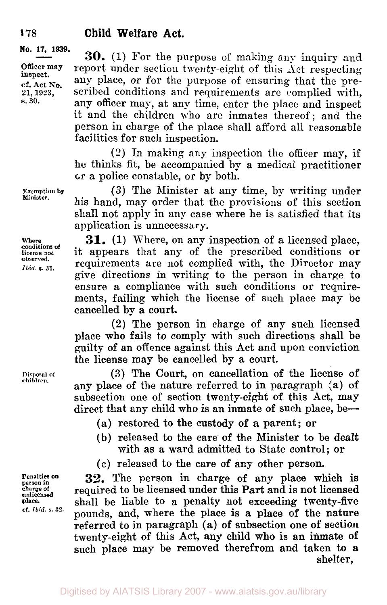#### **No. 17, 1939.**

**Officer may inspect. cf. Act** *No.*  **21, 1923, s. 30.** 

**30.** (1) For the purpose of making any inquiry and report under section twenty-eight of this Act respecting any place, or for the purpose of ensuring that the prescribed conditions and requirements are complied with, any officer may, at any time, enter the place and inspect it and the children who are inmates thereof; and the person in charge of the place shall afford all reasonable facilities for such inspection.

(2) In making any inspection the officer may, **if**  he thinks fit, be accompanied by a medical practitioner **or a** police constable, **or** by both.

**(3)** The Minister at any time, by writing under his hand, may order that the provisions of this section shall not apply in any case where he is satisfied that its application is unnecessary.

**31.** (1) Where, on any inspection of a licensed place, it appears that any of the prescribed conditions or requirements are not complied with, the Director may give directions in writing to the person in charge to ensure a compliance with such conditions or requirements, failing which the license of such place may **be**  cancelled by a court.

**(2)** The person in charge of any such licensed place who fails to comply with such directions shall **be**  guilty **of** an offence against this Act and upon conviction the license may be cancelled by a court.

**(3)** The Court, on cancellation of the license of any place of the nature referred to in paragraph (a) **of**  subsection one of section twenty-eight of this Act, may direct that any child who is an inmate of such place, be-

(a) restored to the custody of a parent; or

- (b) released to the care **of** the Minister to **be** dealt with as a ward admitted to State control; or
- (c) released to the care of any other person.

**32.** The person in charge **of** any place which is required to be licensed under this Part and is not licensed shall be liable to a penalty not exceeding twenty-five pounds, and, where the place is a place of the nature referred to in paragraph (a) of subsection one **of** section twenty-eight of this Act, any child who is an inmate **of**  such place may be removed therefrom **and** taken to **a**  shelter,

**Exemption by Minister.** 

**Where conditions of**   $\boldsymbol{\delta}$ observed. *Ibid. S.* **31.** 

**Disposal of children.** 

**Penalties on person in charge of unlicensed**  *place*  **cf.** *Ibid.* **s. 32.** 

**178**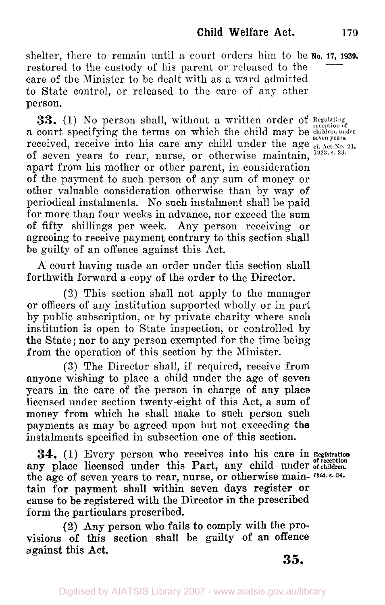shelter, there to remain until a court orders him to be **No. 17, 1939.** restored to the custody of his parent or released to the care of the Minister to be dealt with as a ward admitted to State control, or released to the care of any other person.

**33.** (1) No person shall, without a written order of **Regulating** a court specifying the terms on which the child may be children under received, receive into his care any child under the age  $\frac{1}{c}$  of  $\frac{1}{c}$  and  $\frac{1}{c}$  and  $\frac{1}{c}$  and  $\frac{1}{c}$  and  $\frac{1}{c}$  and  $\frac{1}{c}$  and  $\frac{1}{c}$  and  $\frac{1}{c}$  and  $\frac{1}{c}$  and  $\frac{1}{c}$  and  $\frac{1}{c}$  and of seven years to rear, nurse, or otherwise maintain, **1923, s.33.**  apart from his mother or other parent, in consideration of the payment to such person of any sum of money or other valuable consideration otherwise than by way of periodical instalments. No such instalment shall be paid for more than four weeks in advance, nor exceed the sum of fifty shillings per week. Any person receiving or agreeing to receive payment contrary to this section shall be guilty of an offence against this Act.

A court having made an order under this section shall forthwith forward a copy of the order to the Director.

(2) This section shall not apply to the manager or officers of any institution supported wholly or in part by public subscription, or by private charity where such institution is open to State inspection, or controlled by the State; nor to any person exempted for the time being from the operation of this section by the Minister.

**(3)** The Director shall, if required, receive from anyone wishing to place a child under the age of seven years in the care of the person in charge of any place licensed under section twenty-eight of this Act, a sum of money from which he shall make to such person such payments as may be agreed upon but not exceeding the instalments specified in subsection one of this section.

**34.** (1) Every person who receives into his care in **Registration**  any place licensed under this Part, any child under of children. the **age** of seven years to rear, nurse, or otherwise main- *Ibid. s. 34.*  tain for payment shall within seven days register **or**  cause to be registered with the Director in the prescribed form the particulars prescribed.

**(2)** Any person who fails **to** comply with the provisions of this section shall be guilty **of** an offence against this Act.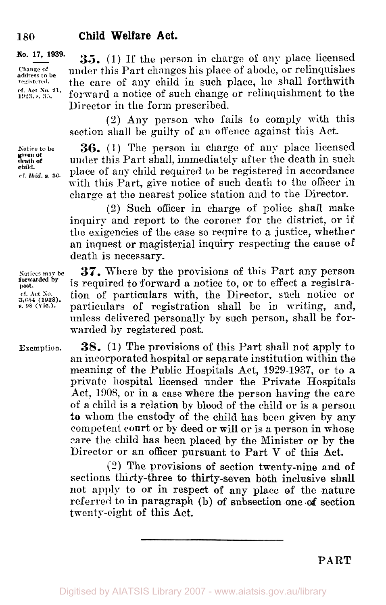**No. 17, 1939.** 

address to be **registered.** 

**Notice to be death or given** *of*  cf. *Ibid.* s. 36. **child.** 

**35.** (1) If the person in charge of any place licensed under this Part changes his place of abode, or relinquishes the care of any child in such place, he shall forthwith forward a notice of such change or relinquishment to the Director in the form prescribed. **17, 1939.**<br> **35.** (1) If the person<br>
change of under this Part changes headdress to be the care of any child in<br>
ret. Act No. 21, forward a notice of such<br>
Director in the form pres

> (2) Any person who fails to comply with this section shall **be** guilty of an offence against this Act.

> **36.** (1) The person in charge of any place licensed under this Part shall, immediately after the death in such **s. 36,** place of any child required to be registered in accordance with this Part, give notice of such death to the officer in charge at the nearest police station and to the Director.

> (2) Such officer in charge of police shall make inquiry and report to the coroner for the district, or if the exigencies of the case so require to a justice, whether an inquest or magisterial inquiry respecting the cause **of**  death is necessary.

**Notices may be 37.** Where by the provisions of this Part any person is required to forward **a** notice to, or to effect **a** registracf. Act No. **i** ion of particulars with, the Director, such notice or  $\frac{3,654}{6.98}$  (yie.). particulars of registration shall be in writing, and, particulars of registration shall be in writing, and, unless delivered personally by such person, shall be forwarded by registered post.

> **38.** (1) The provisions of this Part shall not apply to an incorporated hospital or separate institution within the meaning of the Public Hospitals Act, **1929-1937,** or to *a*  private hospital licensed under the Private Hospitals Act, 1908, or in **a** case where the person having the care of a child is a relation by blood of the child or is a person *to* whom the custody of the child has been given by any competent court or by deed or will or is **a** person in whose care the child has been placed by the Minister or by the Director or an officer pursuant to Part V of this **Act.**

**(2)** The provisions **of** section twenty-nine **and of**  sections thirty-three to thirty-seven both inclusive shall not apply to or in respect **of** any place **of** the nature referred to in paragraph (b) *of* subsection one **of** section twenty-eight of this Act.

**forwarded by post.** 

**Exemption.** 

**PART**